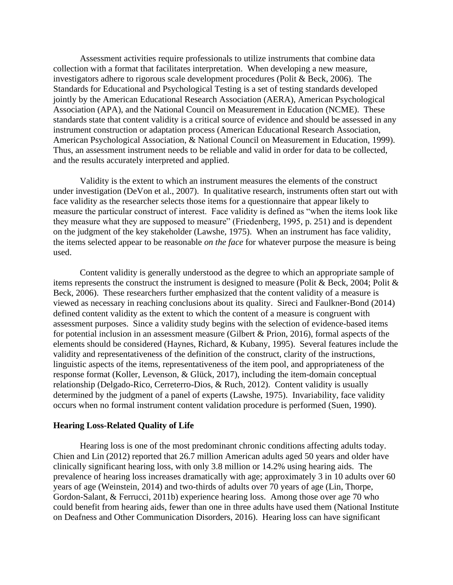Assessment activities require professionals to utilize instruments that combine data collection with a format that facilitates interpretation. When developing a new measure, investigators adhere to rigorous scale development procedures (Polit & Beck, 2006). The Standards for Educational and Psychological Testing is a set of testing standards developed jointly by the American Educational Research Association (AERA), American Psychological Association (APA), and the National Council on Measurement in Education (NCME). These standards state that content validity is a critical source of evidence and should be assessed in any instrument construction or adaptation process (American Educational Research Association, American Psychological Association, & National Council on Measurement in Education, 1999). Thus, an assessment instrument needs to be reliable and valid in order for data to be collected, and the results accurately interpreted and applied.

Validity is the extent to which an instrument measures the elements of the construct under investigation (DeVon et al., 2007). In qualitative research, instruments often start out with face validity as the researcher selects those items for a questionnaire that appear likely to measure the particular construct of interest. Face validity is defined as "when the items look like they measure what they are supposed to measure" (Friedenberg, 1995, p. 251) and is dependent on the judgment of the key stakeholder (Lawshe, 1975). When an instrument has face validity, the items selected appear to be reasonable *on the face* for whatever purpose the measure is being used.

Content validity is generally understood as the degree to which an appropriate sample of items represents the construct the instrument is designed to measure (Polit & Beck, 2004; Polit & Beck, 2006). These researchers further emphasized that the content validity of a measure is viewed as necessary in reaching conclusions about its quality. Sireci and Faulkner-Bond (2014) defined content validity as the extent to which the content of a measure is congruent with assessment purposes. Since a validity study begins with the selection of evidence-based items for potential inclusion in an assessment measure (Gilbert & Prion, 2016), formal aspects of the elements should be considered (Haynes, Richard, & Kubany, 1995). Several features include the validity and representativeness of the definition of the construct, clarity of the instructions, linguistic aspects of the items, representativeness of the item pool, and appropriateness of the response format (Koller, Levenson, & Glück, 2017), including the item-domain conceptual relationship (Delgado-Rico, Cerreterro-Dios, & Ruch, 2012). Content validity is usually determined by the judgment of a panel of experts (Lawshe, 1975). Invariability, face validity occurs when no formal instrument content validation procedure is performed (Suen, 1990).

## **Hearing Loss-Related Quality of Life**

Hearing loss is one of the most predominant chronic conditions affecting adults today. Chien and Lin (2012) reported that 26.7 million American adults aged 50 years and older have clinically significant hearing loss, with only 3.8 million or 14.2% using hearing aids. The prevalence of hearing loss increases dramatically with age; approximately 3 in 10 adults over 60 years of age (Weinstein, 2014) and two-thirds of adults over 70 years of age (Lin, Thorpe, Gordon-Salant, & Ferrucci, 2011b) experience hearing loss. Among those over age 70 who could benefit from hearing aids, fewer than one in three adults have used them (National Institute on Deafness and Other Communication Disorders, 2016). Hearing loss can have significant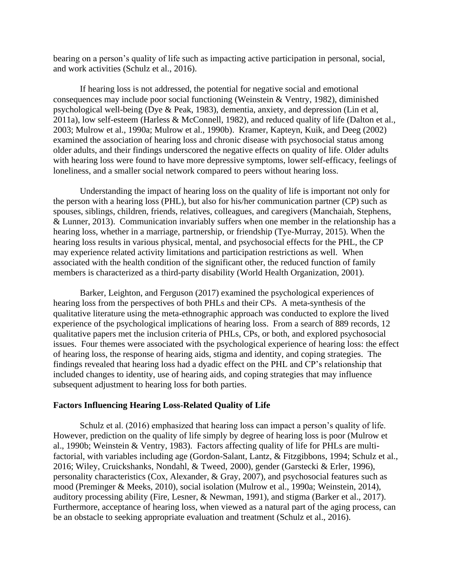bearing on a person's quality of life such as impacting active participation in personal, social, and work activities (Schulz et al., 2016).

If hearing loss is not addressed, the potential for negative social and emotional consequences may include poor social functioning (Weinstein & Ventry, 1982), diminished psychological well-being (Dye & Peak, 1983), dementia, anxiety, and depression (Lin et al, 2011a), low self-esteem (Harless & McConnell, 1982), and reduced quality of life (Dalton et al., 2003; Mulrow et al., 1990a; Mulrow et al., 1990b). Kramer, Kapteyn, Kuik, and Deeg (2002) examined the association of hearing loss and chronic disease with psychosocial status among older adults, and their findings underscored the negative effects on quality of life. Older adults with hearing loss were found to have more depressive symptoms, lower self-efficacy, feelings of loneliness, and a smaller social network compared to peers without hearing loss.

Understanding the impact of hearing loss on the quality of life is important not only for the person with a hearing loss (PHL), but also for his/her communication partner (CP) such as spouses, siblings, children, friends, relatives, colleagues, and caregivers (Manchaiah, Stephens, & Lunner, 2013). Communication invariably suffers when one member in the relationship has a hearing loss, whether in a marriage, partnership, or friendship (Tye-Murray, 2015). When the hearing loss results in various physical, mental, and psychosocial effects for the PHL, the CP may experience related activity limitations and participation restrictions as well. When associated with the health condition of the significant other, the reduced function of family members is characterized as a third-party disability (World Health Organization, 2001).

Barker, Leighton, and Ferguson (2017) examined the psychological experiences of hearing loss from the perspectives of both PHLs and their CPs. A meta-synthesis of the qualitative literature using the meta-ethnographic approach was conducted to explore the lived experience of the psychological implications of hearing loss. From a search of 889 records, 12 qualitative papers met the inclusion criteria of PHLs, CPs, or both, and explored psychosocial issues. Four themes were associated with the psychological experience of hearing loss: the effect of hearing loss, the response of hearing aids, stigma and identity, and coping strategies. The findings revealed that hearing loss had a dyadic effect on the PHL and CP's relationship that included changes to identity, use of hearing aids, and coping strategies that may influence subsequent adjustment to hearing loss for both parties.

## **Factors Influencing Hearing Loss-Related Quality of Life**

Schulz et al. (2016) emphasized that hearing loss can impact a person's quality of life. However, prediction on the quality of life simply by degree of hearing loss is poor (Mulrow et al., 1990b; Weinstein & Ventry, 1983). Factors affecting quality of life for PHLs are multifactorial, with variables including age (Gordon-Salant, Lantz, & Fitzgibbons, 1994; Schulz et al., 2016; Wiley, Cruickshanks, Nondahl, & Tweed, 2000), gender (Garstecki & Erler, 1996), personality characteristics (Cox, Alexander, & Gray, 2007), and psychosocial features such as mood (Preminger & Meeks, 2010), social isolation (Mulrow et al., 1990a; Weinstein, 2014), auditory processing ability (Fire, Lesner, & Newman, 1991), and stigma (Barker et al., 2017). Furthermore, acceptance of hearing loss, when viewed as a natural part of the aging process, can be an obstacle to seeking appropriate evaluation and treatment (Schulz et al., 2016).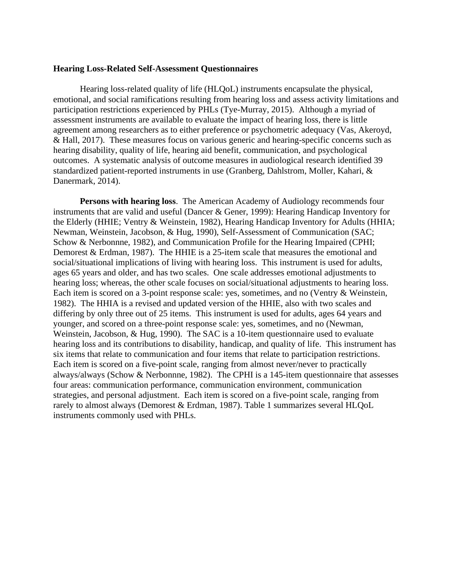### **Hearing Loss-Related Self-Assessment Questionnaires**

Hearing loss-related quality of life (HLQoL) instruments encapsulate the physical, emotional, and social ramifications resulting from hearing loss and assess activity limitations and participation restrictions experienced by PHLs (Tye-Murray, 2015). Although a myriad of assessment instruments are available to evaluate the impact of hearing loss, there is little agreement among researchers as to either preference or psychometric adequacy (Vas, Akeroyd, & Hall, 2017). These measures focus on various generic and hearing-specific concerns such as hearing disability, quality of life, hearing aid benefit, communication, and psychological outcomes. A systematic analysis of outcome measures in audiological research identified 39 standardized patient-reported instruments in use (Granberg, Dahlstrom, Moller, Kahari, & Danermark, 2014).

**Persons with hearing loss**. The American Academy of Audiology recommends four instruments that are valid and useful (Dancer & Gener, 1999): Hearing Handicap Inventory for the Elderly (HHIE; Ventry & Weinstein, 1982), Hearing Handicap Inventory for Adults (HHIA; Newman, Weinstein, Jacobson, & Hug, 1990), Self-Assessment of Communication (SAC; Schow & Nerbonnne, 1982), and Communication Profile for the Hearing Impaired (CPHI; Demorest & Erdman, 1987). The HHIE is a 25-item scale that measures the emotional and social/situational implications of living with hearing loss. This instrument is used for adults, ages 65 years and older, and has two scales. One scale addresses emotional adjustments to hearing loss; whereas, the other scale focuses on social/situational adjustments to hearing loss. Each item is scored on a 3-point response scale: yes, sometimes, and no (Ventry & Weinstein, 1982). The HHIA is a revised and updated version of the HHIE, also with two scales and differing by only three out of 25 items. This instrument is used for adults, ages 64 years and younger, and scored on a three-point response scale: yes, sometimes, and no (Newman, Weinstein, Jacobson, & Hug, 1990). The SAC is a 10-item questionnaire used to evaluate hearing loss and its contributions to disability, handicap, and quality of life. This instrument has six items that relate to communication and four items that relate to participation restrictions. Each item is scored on a five-point scale, ranging from almost never/never to practically always/always (Schow & Nerbonnne, 1982). The CPHI is a 145-item questionnaire that assesses four areas: communication performance, communication environment, communication strategies, and personal adjustment. Each item is scored on a five-point scale, ranging from rarely to almost always (Demorest & Erdman, 1987). Table 1 summarizes several HLQoL instruments commonly used with PHLs.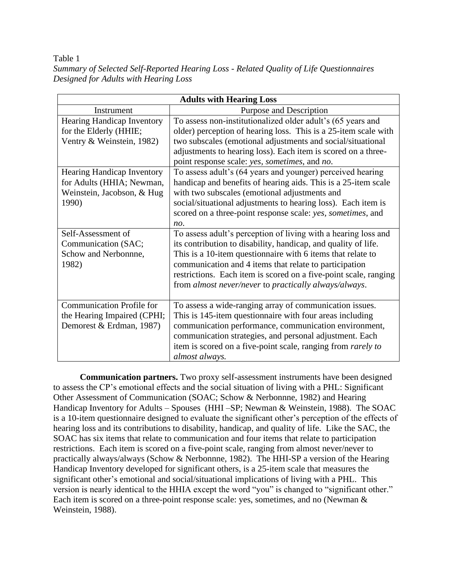# Table 1

| Summary of Selected Self-Reported Hearing Loss - Related Quality of Life Questionnaires |  |
|-----------------------------------------------------------------------------------------|--|
| Designed for Adults with Hearing Loss                                                   |  |

| <b>Adults with Hearing Loss</b>   |                                                                  |  |  |  |
|-----------------------------------|------------------------------------------------------------------|--|--|--|
| Instrument                        | Purpose and Description                                          |  |  |  |
| Hearing Handicap Inventory        | To assess non-institutionalized older adult's (65 years and      |  |  |  |
| for the Elderly (HHIE;            | older) perception of hearing loss. This is a 25-item scale with  |  |  |  |
| Ventry & Weinstein, 1982)         | two subscales (emotional adjustments and social/situational      |  |  |  |
|                                   | adjustments to hearing loss). Each item is scored on a three-    |  |  |  |
|                                   | point response scale: yes, sometimes, and no.                    |  |  |  |
| <b>Hearing Handicap Inventory</b> | To assess adult's (64 years and younger) perceived hearing       |  |  |  |
| for Adults (HHIA; Newman,         | handicap and benefits of hearing aids. This is a 25-item scale   |  |  |  |
| Weinstein, Jacobson, & Hug        | with two subscales (emotional adjustments and                    |  |  |  |
| 1990)                             | social/situational adjustments to hearing loss). Each item is    |  |  |  |
|                                   | scored on a three-point response scale: yes, sometimes, and      |  |  |  |
|                                   | no.                                                              |  |  |  |
| Self-Assessment of                | To assess adult's perception of living with a hearing loss and   |  |  |  |
| Communication (SAC;               | its contribution to disability, handicap, and quality of life.   |  |  |  |
| Schow and Nerbonnne,              | This is a 10-item questionnaire with 6 items that relate to      |  |  |  |
| 1982)                             | communication and 4 items that relate to participation           |  |  |  |
|                                   | restrictions. Each item is scored on a five-point scale, ranging |  |  |  |
|                                   | from almost never/never to practically always/always.            |  |  |  |
|                                   |                                                                  |  |  |  |
| <b>Communication Profile for</b>  | To assess a wide-ranging array of communication issues.          |  |  |  |
| the Hearing Impaired (CPHI;       | This is 145-item questionnaire with four areas including         |  |  |  |
| Demorest & Erdman, 1987)          | communication performance, communication environment,            |  |  |  |
|                                   | communication strategies, and personal adjustment. Each          |  |  |  |
|                                   | item is scored on a five-point scale, ranging from rarely to     |  |  |  |
|                                   | almost always.                                                   |  |  |  |

**Communication partners.** Two proxy self-assessment instruments have been designed to assess the CP's emotional effects and the social situation of living with a PHL: Significant Other Assessment of Communication (SOAC; Schow & Nerbonnne, 1982) and Hearing Handicap Inventory for Adults – Spouses (HHI –SP; Newman & Weinstein, 1988). The SOAC is a 10-item questionnaire designed to evaluate the significant other's perception of the effects of hearing loss and its contributions to disability, handicap, and quality of life. Like the SAC, the SOAC has six items that relate to communication and four items that relate to participation restrictions. Each item is scored on a five-point scale, ranging from almost never/never to practically always/always (Schow & Nerbonnne, 1982). The HHI-SP a version of the Hearing Handicap Inventory developed for significant others, is a 25-item scale that measures the significant other's emotional and social/situational implications of living with a PHL. This version is nearly identical to the HHIA except the word "you" is changed to "significant other." Each item is scored on a three-point response scale: yes, sometimes, and no (Newman & Weinstein, 1988).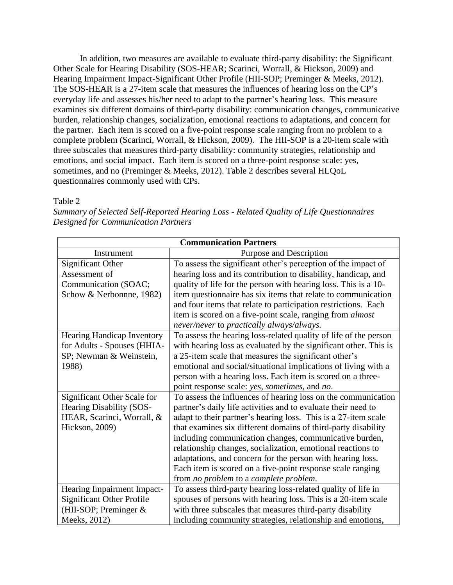In addition, two measures are available to evaluate third-party disability: the Significant Other Scale for Hearing Disability (SOS-HEAR; Scarinci, Worrall, & Hickson, 2009) and Hearing Impairment Impact-Significant Other Profile (HII-SOP; Preminger & Meeks, 2012). The SOS-HEAR is a 27-item scale that measures the influences of hearing loss on the CP's everyday life and assesses his/her need to adapt to the partner's hearing loss. This measure examines six different domains of third-party disability: communication changes, communicative burden, relationship changes, socialization, emotional reactions to adaptations, and concern for the partner. Each item is scored on a five-point response scale ranging from no problem to a complete problem (Scarinci, Worrall, & Hickson, 2009). The HII-SOP is a 20-item scale with three subscales that measures third-party disability: community strategies, relationship and emotions, and social impact. Each item is scored on a three-point response scale: yes, sometimes, and no (Preminger & Meeks, 2012). Table 2 describes several HLQoL questionnaires commonly used with CPs.

Table 2

*Summary of Selected Self-Reported Hearing Loss - Related Quality of Life Questionnaires Designed for Communication Partners*

| <b>Communication Partners</b>     |                                                                  |  |  |  |  |
|-----------------------------------|------------------------------------------------------------------|--|--|--|--|
| Instrument                        | Purpose and Description                                          |  |  |  |  |
| <b>Significant Other</b>          | To assess the significant other's perception of the impact of    |  |  |  |  |
| Assessment of                     | hearing loss and its contribution to disability, handicap, and   |  |  |  |  |
| Communication (SOAC;              | quality of life for the person with hearing loss. This is a 10-  |  |  |  |  |
| Schow & Nerbonnne, 1982)          | item questionnaire has six items that relate to communication    |  |  |  |  |
|                                   | and four items that relate to participation restrictions. Each   |  |  |  |  |
|                                   | item is scored on a five-point scale, ranging from <i>almost</i> |  |  |  |  |
|                                   | never/never to practically always/always.                        |  |  |  |  |
| <b>Hearing Handicap Inventory</b> | To assess the hearing loss-related quality of life of the person |  |  |  |  |
| for Adults - Spouses (HHIA-       | with hearing loss as evaluated by the significant other. This is |  |  |  |  |
| SP; Newman & Weinstein,           | a 25-item scale that measures the significant other's            |  |  |  |  |
| 1988)                             | emotional and social/situational implications of living with a   |  |  |  |  |
|                                   | person with a hearing loss. Each item is scored on a three-      |  |  |  |  |
|                                   | point response scale: yes, sometimes, and no.                    |  |  |  |  |
| Significant Other Scale for       | To assess the influences of hearing loss on the communication    |  |  |  |  |
| Hearing Disability (SOS-          | partner's daily life activities and to evaluate their need to    |  |  |  |  |
| HEAR, Scarinci, Worrall, &        | adapt to their partner's hearing loss. This is a 27-item scale   |  |  |  |  |
| Hickson, 2009)                    | that examines six different domains of third-party disability    |  |  |  |  |
|                                   | including communication changes, communicative burden,           |  |  |  |  |
|                                   | relationship changes, socialization, emotional reactions to      |  |  |  |  |
|                                   | adaptations, and concern for the person with hearing loss.       |  |  |  |  |
|                                   | Each item is scored on a five-point response scale ranging       |  |  |  |  |
|                                   | from no problem to a complete problem.                           |  |  |  |  |
| Hearing Impairment Impact-        | To assess third-party hearing loss-related quality of life in    |  |  |  |  |
| <b>Significant Other Profile</b>  | spouses of persons with hearing loss. This is a 20-item scale    |  |  |  |  |
| (HII-SOP; Preminger $&$           | with three subscales that measures third-party disability        |  |  |  |  |
| Meeks, 2012)                      | including community strategies, relationship and emotions,       |  |  |  |  |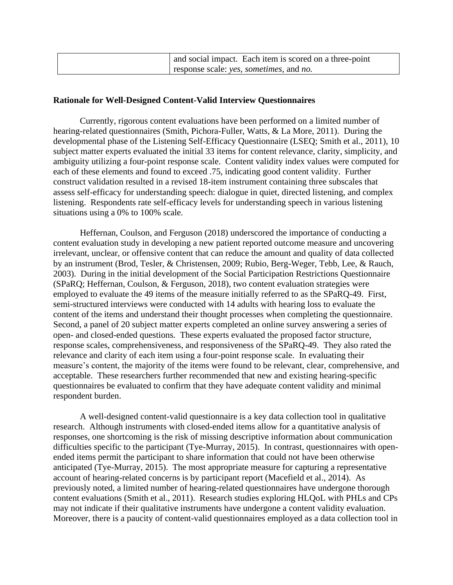| and social impact. Each item is scored on a three-point |
|---------------------------------------------------------|
| response scale: yes, sometimes, and no.                 |

# **Rationale for Well-Designed Content-Valid Interview Questionnaires**

Currently, rigorous content evaluations have been performed on a limited number of hearing-related questionnaires (Smith, Pichora-Fuller, Watts, & La More, 2011). During the developmental phase of the Listening Self-Efficacy Questionnaire (LSEQ; Smith et al., 2011), 10 subject matter experts evaluated the initial 33 items for content relevance, clarity, simplicity, and ambiguity utilizing a four-point response scale. Content validity index values were computed for each of these elements and found to exceed .75, indicating good content validity. Further construct validation resulted in a revised 18-item instrument containing three subscales that assess self-efficacy for understanding speech: dialogue in quiet, directed listening, and complex listening. Respondents rate self-efficacy levels for understanding speech in various listening situations using a 0% to 100% scale.

Heffernan, Coulson, and Ferguson (2018) underscored the importance of conducting a content evaluation study in developing a new patient reported outcome measure and uncovering irrelevant, unclear, or offensive content that can reduce the amount and quality of data collected by an instrument (Brod, Tesler, & Christensen, 2009; Rubio, Berg-Weger, Tebb, Lee, & Rauch, 2003). During in the initial development of the Social Participation Restrictions Questionnaire (SPaRQ; Heffernan, Coulson, & Ferguson, 2018), two content evaluation strategies were employed to evaluate the 49 items of the measure initially referred to as the SPaRQ-49. First, semi-structured interviews were conducted with 14 adults with hearing loss to evaluate the content of the items and understand their thought processes when completing the questionnaire. Second, a panel of 20 subject matter experts completed an online survey answering a series of open- and closed-ended questions. These experts evaluated the proposed factor structure, response scales, comprehensiveness, and responsiveness of the SPaRQ-49. They also rated the relevance and clarity of each item using a four-point response scale. In evaluating their measure's content, the majority of the items were found to be relevant, clear, comprehensive, and acceptable. These researchers further recommended that new and existing hearing-specific questionnaires be evaluated to confirm that they have adequate content validity and minimal respondent burden.

A well-designed content-valid questionnaire is a key data collection tool in qualitative research. Although instruments with closed-ended items allow for a quantitative analysis of responses, one shortcoming is the risk of missing descriptive information about communication difficulties specific to the participant (Tye-Murray, 2015). In contrast, questionnaires with openended items permit the participant to share information that could not have been otherwise anticipated (Tye-Murray, 2015). The most appropriate measure for capturing a representative account of hearing-related concerns is by participant report (Macefield et al., 2014). As previously noted, a limited number of hearing-related questionnaires have undergone thorough content evaluations (Smith et al., 2011). Research studies exploring HLQoL with PHLs and CPs may not indicate if their qualitative instruments have undergone a content validity evaluation. Moreover, there is a paucity of content-valid questionnaires employed as a data collection tool in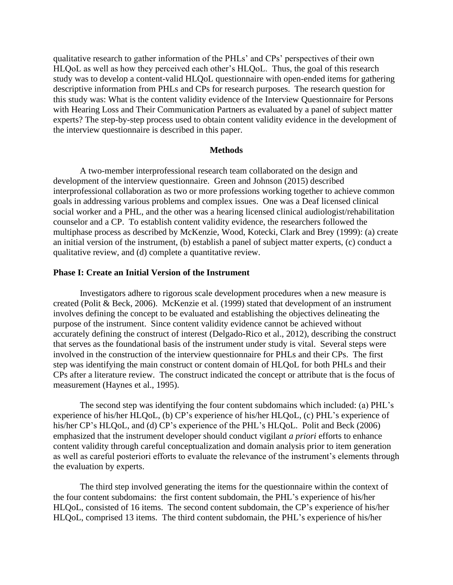qualitative research to gather information of the PHLs' and CPs' perspectives of their own HLQoL as well as how they perceived each other's HLQoL. Thus, the goal of this research study was to develop a content-valid HLQoL questionnaire with open-ended items for gathering descriptive information from PHLs and CPs for research purposes. The research question for this study was: What is the content validity evidence of the Interview Questionnaire for Persons with Hearing Loss and Their Communication Partners as evaluated by a panel of subject matter experts? The step-by-step process used to obtain content validity evidence in the development of the interview questionnaire is described in this paper.

### **Methods**

A two-member interprofessional research team collaborated on the design and development of the interview questionnaire. Green and Johnson (2015) described interprofessional collaboration as two or more professions working together to achieve common goals in addressing various problems and complex issues. One was a Deaf licensed clinical social worker and a PHL, and the other was a hearing licensed clinical audiologist/rehabilitation counselor and a CP. To establish content validity evidence, the researchers followed the multiphase process as described by McKenzie, Wood, Kotecki, Clark and Brey (1999): (a) create an initial version of the instrument, (b) establish a panel of subject matter experts, (c) conduct a qualitative review, and (d) complete a quantitative review.

## **Phase I: Create an Initial Version of the Instrument**

Investigators adhere to rigorous scale development procedures when a new measure is created (Polit & Beck, 2006). McKenzie et al. (1999) stated that development of an instrument involves defining the concept to be evaluated and establishing the objectives delineating the purpose of the instrument. Since content validity evidence cannot be achieved without accurately defining the construct of interest (Delgado-Rico et al., 2012), describing the construct that serves as the foundational basis of the instrument under study is vital. Several steps were involved in the construction of the interview questionnaire for PHLs and their CPs. The first step was identifying the main construct or content domain of HLQoL for both PHLs and their CPs after a literature review. The construct indicated the concept or attribute that is the focus of measurement (Haynes et al., 1995).

The second step was identifying the four content subdomains which included: (a) PHL's experience of his/her HLQoL, (b) CP's experience of his/her HLQoL, (c) PHL's experience of his/her CP's HLQoL, and (d) CP's experience of the PHL's HLQoL. Polit and Beck (2006) emphasized that the instrument developer should conduct vigilant *a priori* efforts to enhance content validity through careful conceptualization and domain analysis prior to item generation as well as careful posteriori efforts to evaluate the relevance of the instrument's elements through the evaluation by experts.

The third step involved generating the items for the questionnaire within the context of the four content subdomains: the first content subdomain, the PHL's experience of his/her HLQoL, consisted of 16 items. The second content subdomain, the CP's experience of his/her HLQoL, comprised 13 items. The third content subdomain, the PHL's experience of his/her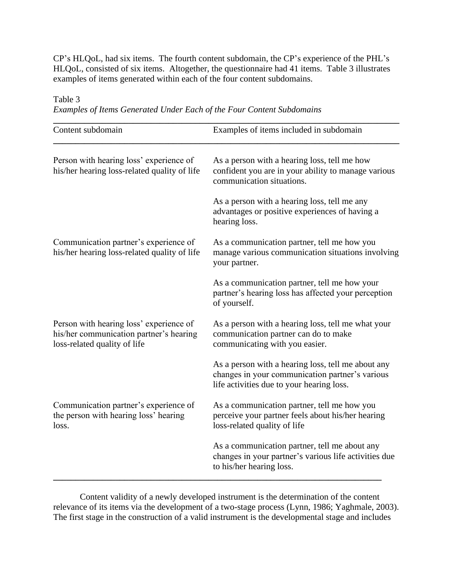CP's HLQoL, had six items. The fourth content subdomain, the CP's experience of the PHL's HLQoL, consisted of six items. Altogether, the questionnaire had 41 items. Table 3 illustrates examples of items generated within each of the four content subdomains.

Table 3

*Examples of Items Generated Under Each of the Four Content Subdomains*

| Content subdomain                                                                                                  | Examples of items included in subdomain                                                                                                            |  |  |
|--------------------------------------------------------------------------------------------------------------------|----------------------------------------------------------------------------------------------------------------------------------------------------|--|--|
| Person with hearing loss' experience of<br>his/her hearing loss-related quality of life                            | As a person with a hearing loss, tell me how<br>confident you are in your ability to manage various<br>communication situations.                   |  |  |
|                                                                                                                    | As a person with a hearing loss, tell me any<br>advantages or positive experiences of having a<br>hearing loss.                                    |  |  |
| Communication partner's experience of<br>his/her hearing loss-related quality of life                              | As a communication partner, tell me how you<br>manage various communication situations involving<br>your partner.                                  |  |  |
|                                                                                                                    | As a communication partner, tell me how your<br>partner's hearing loss has affected your perception<br>of yourself.                                |  |  |
| Person with hearing loss' experience of<br>his/her communication partner's hearing<br>loss-related quality of life | As a person with a hearing loss, tell me what your<br>communication partner can do to make<br>communicating with you easier.                       |  |  |
|                                                                                                                    | As a person with a hearing loss, tell me about any<br>changes in your communication partner's various<br>life activities due to your hearing loss. |  |  |
| Communication partner's experience of<br>the person with hearing loss' hearing<br>loss.                            | As a communication partner, tell me how you<br>perceive your partner feels about his/her hearing<br>loss-related quality of life                   |  |  |
|                                                                                                                    | As a communication partner, tell me about any<br>changes in your partner's various life activities due<br>to his/her hearing loss.                 |  |  |

Content validity of a newly developed instrument is the determination of the content relevance of its items via the development of a two-stage process (Lynn, 1986; Yaghmale, 2003). The first stage in the construction of a valid instrument is the developmental stage and includes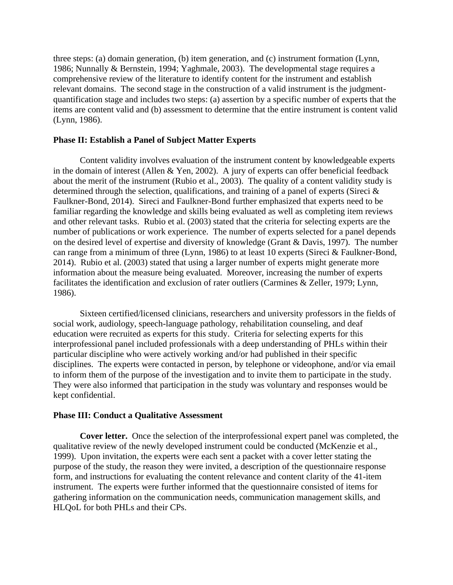three steps: (a) domain generation, (b) item generation, and (c) instrument formation (Lynn, 1986; Nunnally & Bernstein, 1994; Yaghmale, 2003). The developmental stage requires a comprehensive review of the literature to identify content for the instrument and establish relevant domains. The second stage in the construction of a valid instrument is the judgmentquantification stage and includes two steps: (a) assertion by a specific number of experts that the items are content valid and (b) assessment to determine that the entire instrument is content valid (Lynn, 1986).

# **Phase II: Establish a Panel of Subject Matter Experts**

Content validity involves evaluation of the instrument content by knowledgeable experts in the domain of interest (Allen & Yen, 2002). A jury of experts can offer beneficial feedback about the merit of the instrument (Rubio et al., 2003). The quality of a content validity study is determined through the selection, qualifications, and training of a panel of experts (Sireci & Faulkner-Bond, 2014). Sireci and Faulkner-Bond further emphasized that experts need to be familiar regarding the knowledge and skills being evaluated as well as completing item reviews and other relevant tasks. Rubio et al. (2003) stated that the criteria for selecting experts are the number of publications or work experience. The number of experts selected for a panel depends on the desired level of expertise and diversity of knowledge (Grant & Davis, 1997). The number can range from a minimum of three (Lynn, 1986) to at least 10 experts (Sireci & Faulkner-Bond, 2014). Rubio et al. (2003) stated that using a larger number of experts might generate more information about the measure being evaluated. Moreover, increasing the number of experts facilitates the identification and exclusion of rater outliers (Carmines & Zeller, 1979; Lynn, 1986).

Sixteen certified/licensed clinicians, researchers and university professors in the fields of social work, audiology, speech-language pathology, rehabilitation counseling, and deaf education were recruited as experts for this study. Criteria for selecting experts for this interprofessional panel included professionals with a deep understanding of PHLs within their particular discipline who were actively working and/or had published in their specific disciplines. The experts were contacted in person, by telephone or videophone, and/or via email to inform them of the purpose of the investigation and to invite them to participate in the study. They were also informed that participation in the study was voluntary and responses would be kept confidential.

## **Phase III: Conduct a Qualitative Assessment**

**Cover letter.** Once the selection of the interprofessional expert panel was completed, the qualitative review of the newly developed instrument could be conducted (McKenzie et al., 1999). Upon invitation, the experts were each sent a packet with a cover letter stating the purpose of the study, the reason they were invited, a description of the questionnaire response form, and instructions for evaluating the content relevance and content clarity of the 41-item instrument. The experts were further informed that the questionnaire consisted of items for gathering information on the communication needs, communication management skills, and HLQoL for both PHLs and their CPs.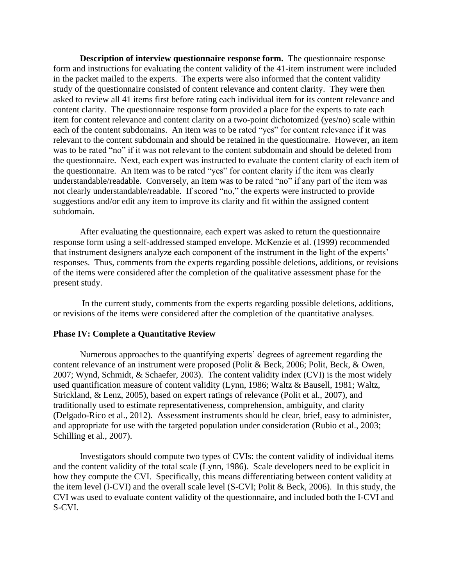**Description of interview questionnaire response form.** The questionnaire response form and instructions for evaluating the content validity of the 41-item instrument were included in the packet mailed to the experts. The experts were also informed that the content validity study of the questionnaire consisted of content relevance and content clarity. They were then asked to review all 41 items first before rating each individual item for its content relevance and content clarity. The questionnaire response form provided a place for the experts to rate each item for content relevance and content clarity on a two-point dichotomized (yes/no) scale within each of the content subdomains. An item was to be rated "yes" for content relevance if it was relevant to the content subdomain and should be retained in the questionnaire. However, an item was to be rated "no" if it was not relevant to the content subdomain and should be deleted from the questionnaire. Next, each expert was instructed to evaluate the content clarity of each item of the questionnaire. An item was to be rated "yes" for content clarity if the item was clearly understandable/readable. Conversely, an item was to be rated "no" if any part of the item was not clearly understandable/readable. If scored "no," the experts were instructed to provide suggestions and/or edit any item to improve its clarity and fit within the assigned content subdomain.

After evaluating the questionnaire, each expert was asked to return the questionnaire response form using a self-addressed stamped envelope. McKenzie et al. (1999) recommended that instrument designers analyze each component of the instrument in the light of the experts' responses. Thus, comments from the experts regarding possible deletions, additions, or revisions of the items were considered after the completion of the qualitative assessment phase for the present study.

In the current study, comments from the experts regarding possible deletions, additions, or revisions of the items were considered after the completion of the quantitative analyses.

## **Phase IV: Complete a Quantitative Review**

Numerous approaches to the quantifying experts' degrees of agreement regarding the content relevance of an instrument were proposed (Polit & Beck, 2006; Polit, Beck, & Owen, 2007; Wynd, Schmidt, & Schaefer, 2003). The content validity index (CVI) is the most widely used quantification measure of content validity (Lynn, 1986; Waltz & Bausell, 1981; Waltz, Strickland, & Lenz, 2005), based on expert ratings of relevance (Polit et al., 2007), and traditionally used to estimate representativeness, comprehension, ambiguity, and clarity (Delgado-Rico et al., 2012). Assessment instruments should be clear, brief, easy to administer, and appropriate for use with the targeted population under consideration (Rubio et al., 2003; Schilling et al., 2007).

Investigators should compute two types of CVIs: the content validity of individual items and the content validity of the total scale (Lynn, 1986). Scale developers need to be explicit in how they compute the CVI. Specifically, this means differentiating between content validity at the item level (I-CVI) and the overall scale level (S-CVI; Polit & Beck, 2006). In this study, the CVI was used to evaluate content validity of the questionnaire, and included both the I-CVI and S-CVI.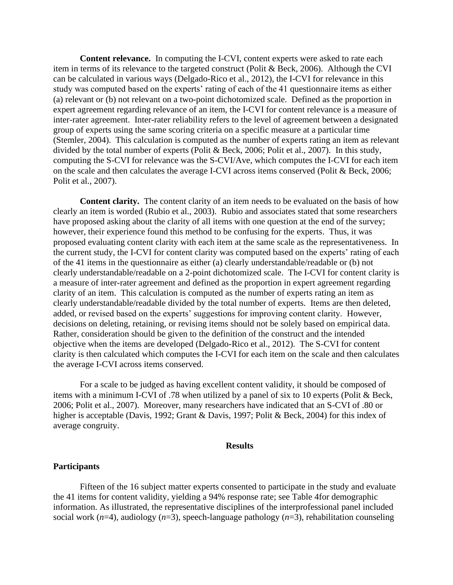**Content relevance.** In computing the I-CVI, content experts were asked to rate each item in terms of its relevance to the targeted construct (Polit & Beck, 2006). Although the CVI can be calculated in various ways (Delgado-Rico et al., 2012), the I-CVI for relevance in this study was computed based on the experts' rating of each of the 41 questionnaire items as either (a) relevant or (b) not relevant on a two-point dichotomized scale. Defined as the proportion in expert agreement regarding relevance of an item, the I-CVI for content relevance is a measure of inter-rater agreement. Inter-rater reliability refers to the level of agreement between a designated group of experts using the same scoring criteria on a specific measure at a particular time (Stemler, 2004). This calculation is computed as the number of experts rating an item as relevant divided by the total number of experts (Polit & Beck, 2006; Polit et al., 2007). In this study, computing the S-CVI for relevance was the S-CVI/Ave, which computes the I-CVI for each item on the scale and then calculates the average I-CVI across items conserved (Polit & Beck, 2006; Polit et al., 2007).

**Content clarity.** The content clarity of an item needs to be evaluated on the basis of how clearly an item is worded (Rubio et al., 2003). Rubio and associates stated that some researchers have proposed asking about the clarity of all items with one question at the end of the survey; however, their experience found this method to be confusing for the experts. Thus, it was proposed evaluating content clarity with each item at the same scale as the representativeness. In the current study, the I-CVI for content clarity was computed based on the experts' rating of each of the 41 items in the questionnaire as either (a) clearly understandable/readable or (b) not clearly understandable/readable on a 2-point dichotomized scale. The I-CVI for content clarity is a measure of inter-rater agreement and defined as the proportion in expert agreement regarding clarity of an item. This calculation is computed as the number of experts rating an item as clearly understandable/readable divided by the total number of experts. Items are then deleted, added, or revised based on the experts' suggestions for improving content clarity. However, decisions on deleting, retaining, or revising items should not be solely based on empirical data. Rather, consideration should be given to the definition of the construct and the intended objective when the items are developed (Delgado-Rico et al., 2012). The S-CVI for content clarity is then calculated which computes the I-CVI for each item on the scale and then calculates the average I-CVI across items conserved.

For a scale to be judged as having excellent content validity, it should be composed of items with a minimum I-CVI of .78 when utilized by a panel of six to 10 experts (Polit & Beck, 2006; Polit et al., 2007). Moreover, many researchers have indicated that an S-CVI of .80 or higher is acceptable (Davis, 1992; Grant & Davis, 1997; Polit & Beck, 2004) for this index of average congruity.

#### **Results**

#### **Participants**

Fifteen of the 16 subject matter experts consented to participate in the study and evaluate the 41 items for content validity, yielding a 94% response rate; see Table 4for demographic information. As illustrated, the representative disciplines of the interprofessional panel included social work (*n*=4), audiology (*n*=3), speech-language pathology (*n*=3), rehabilitation counseling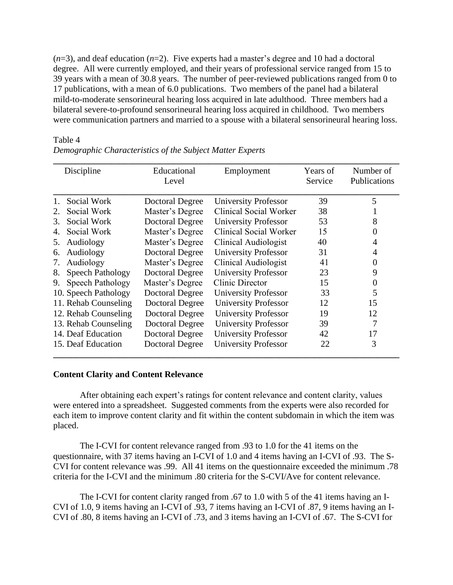$(n=3)$ , and deaf education  $(n=2)$ . Five experts had a master's degree and 10 had a doctoral degree. All were currently employed, and their years of professional service ranged from 15 to 39 years with a mean of 30.8 years. The number of peer-reviewed publications ranged from 0 to 17 publications, with a mean of 6.0 publications. Two members of the panel had a bilateral mild-to-moderate sensorineural hearing loss acquired in late adulthood. Three members had a bilateral severe-to-profound sensorineural hearing loss acquired in childhood. Two members were communication partners and married to a spouse with a bilateral sensorineural hearing loss.

## Table 4

|    | Discipline              | Educational<br>Level   | Employment                  | Years of<br>Service | Number of<br>Publications |
|----|-------------------------|------------------------|-----------------------------|---------------------|---------------------------|
| 1. | Social Work             | Doctoral Degree        | <b>University Professor</b> | 39                  | 5                         |
| 2. | Social Work             | Master's Degree        | Clinical Social Worker      | 38                  |                           |
| 3. | Social Work             | <b>Doctoral Degree</b> | <b>University Professor</b> | 53                  | 8                         |
| 4. | Social Work             | Master's Degree        | Clinical Social Worker      | 15                  | 0                         |
| 5. | Audiology               | Master's Degree        | Clinical Audiologist        | 40                  | 4                         |
| 6. | Audiology               | Doctoral Degree        | <b>University Professor</b> | 31                  | 4                         |
| 7. | Audiology               | Master's Degree        | Clinical Audiologist        | 41                  | 0                         |
| 8. | <b>Speech Pathology</b> | <b>Doctoral Degree</b> | <b>University Professor</b> | 23                  | 9                         |
| 9. | Speech Pathology        | Master's Degree        | Clinic Director             | 15                  | 0                         |
|    | 10. Speech Pathology    | Doctoral Degree        | University Professor        | 33                  | 5                         |
|    | 11. Rehab Counseling    | Doctoral Degree        | <b>University Professor</b> | 12                  | 15                        |
|    | 12. Rehab Counseling    | <b>Doctoral Degree</b> | <b>University Professor</b> | 19                  | 12                        |
|    | 13. Rehab Counseling    | <b>Doctoral Degree</b> | <b>University Professor</b> | 39                  | 7                         |
|    | 14. Deaf Education      | <b>Doctoral Degree</b> | <b>University Professor</b> | 42                  | 17                        |
|    | 15. Deaf Education      | <b>Doctoral Degree</b> | <b>University Professor</b> | 22                  | 3                         |

*Demographic Characteristics of the Subject Matter Experts*

## **Content Clarity and Content Relevance**

After obtaining each expert's ratings for content relevance and content clarity, values were entered into a spreadsheet. Suggested comments from the experts were also recorded for each item to improve content clarity and fit within the content subdomain in which the item was placed.

The I-CVI for content relevance ranged from .93 to 1.0 for the 41 items on the questionnaire, with 37 items having an I-CVI of 1.0 and 4 items having an I-CVI of .93. The S-CVI for content relevance was .99. All 41 items on the questionnaire exceeded the minimum .78 criteria for the I-CVI and the minimum .80 criteria for the S-CVI/Ave for content relevance.

The I-CVI for content clarity ranged from .67 to 1.0 with 5 of the 41 items having an I-CVI of 1.0, 9 items having an I-CVI of .93, 7 items having an I-CVI of .87, 9 items having an I-CVI of .80, 8 items having an I-CVI of .73, and 3 items having an I-CVI of .67. The S-CVI for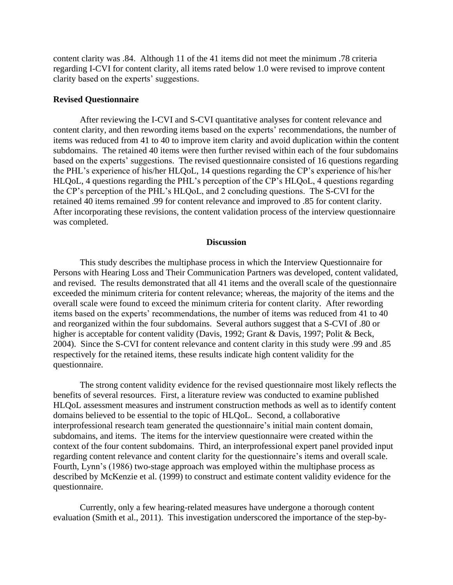content clarity was .84. Although 11 of the 41 items did not meet the minimum .78 criteria regarding I-CVI for content clarity, all items rated below 1.0 were revised to improve content clarity based on the experts' suggestions.

# **Revised Questionnaire**

After reviewing the I-CVI and S-CVI quantitative analyses for content relevance and content clarity, and then rewording items based on the experts' recommendations, the number of items was reduced from 41 to 40 to improve item clarity and avoid duplication within the content subdomains. The retained 40 items were then further revised within each of the four subdomains based on the experts' suggestions. The revised questionnaire consisted of 16 questions regarding the PHL's experience of his/her HLQoL, 14 questions regarding the CP's experience of his/her HLQoL, 4 questions regarding the PHL's perception of the CP's HLQoL, 4 questions regarding the CP's perception of the PHL's HLQoL, and 2 concluding questions. The S-CVI for the retained 40 items remained .99 for content relevance and improved to .85 for content clarity. After incorporating these revisions, the content validation process of the interview questionnaire was completed.

### **Discussion**

This study describes the multiphase process in which the Interview Questionnaire for Persons with Hearing Loss and Their Communication Partners was developed, content validated, and revised. The results demonstrated that all 41 items and the overall scale of the questionnaire exceeded the minimum criteria for content relevance; whereas, the majority of the items and the overall scale were found to exceed the minimum criteria for content clarity. After rewording items based on the experts' recommendations, the number of items was reduced from 41 to 40 and reorganized within the four subdomains. Several authors suggest that a S-CVI of .80 or higher is acceptable for content validity (Davis, 1992; Grant & Davis, 1997; Polit & Beck, 2004). Since the S-CVI for content relevance and content clarity in this study were .99 and .85 respectively for the retained items, these results indicate high content validity for the questionnaire.

The strong content validity evidence for the revised questionnaire most likely reflects the benefits of several resources. First, a literature review was conducted to examine published HLQoL assessment measures and instrument construction methods as well as to identify content domains believed to be essential to the topic of HLQoL. Second, a collaborative interprofessional research team generated the questionnaire's initial main content domain, subdomains, and items. The items for the interview questionnaire were created within the context of the four content subdomains. Third, an interprofessional expert panel provided input regarding content relevance and content clarity for the questionnaire's items and overall scale. Fourth, Lynn's (1986) two-stage approach was employed within the multiphase process as described by McKenzie et al. (1999) to construct and estimate content validity evidence for the questionnaire.

Currently, only a few hearing-related measures have undergone a thorough content evaluation (Smith et al., 2011). This investigation underscored the importance of the step-by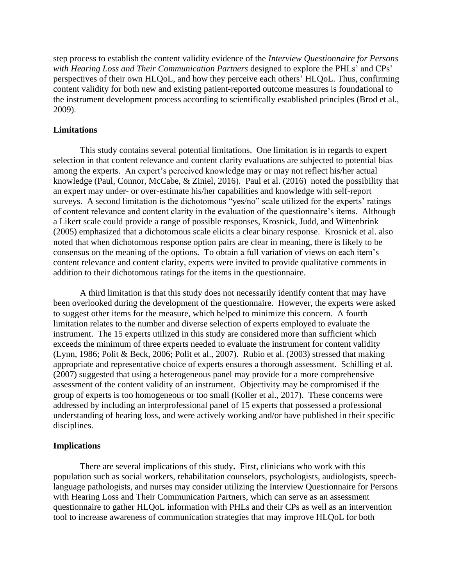step process to establish the content validity evidence of the *Interview Questionnaire for Persons with Hearing Loss and Their Communication Partners* designed to explore the PHLs' and CPs' perspectives of their own HLQoL, and how they perceive each others' HLQoL. Thus, confirming content validity for both new and existing patient-reported outcome measures is foundational to the instrument development process according to scientifically established principles (Brod et al., 2009).

## **Limitations**

This study contains several potential limitations. One limitation is in regards to expert selection in that content relevance and content clarity evaluations are subjected to potential bias among the experts. An expert's perceived knowledge may or may not reflect his/her actual knowledge (Paul, Connor, McCabe, & Ziniel, 2016). Paul et al. (2016) noted the possibility that an expert may under- or over-estimate his/her capabilities and knowledge with self-report surveys. A second limitation is the dichotomous "yes/no" scale utilized for the experts' ratings of content relevance and content clarity in the evaluation of the questionnaire's items. Although a Likert scale could provide a range of possible responses, Krosnick, Judd, and Wittenbrink (2005) emphasized that a dichotomous scale elicits a clear binary response. Krosnick et al. also noted that when dichotomous response option pairs are clear in meaning, there is likely to be consensus on the meaning of the options. To obtain a full variation of views on each item's content relevance and content clarity, experts were invited to provide qualitative comments in addition to their dichotomous ratings for the items in the questionnaire.

A third limitation is that this study does not necessarily identify content that may have been overlooked during the development of the questionnaire. However, the experts were asked to suggest other items for the measure, which helped to minimize this concern. A fourth limitation relates to the number and diverse selection of experts employed to evaluate the instrument. The 15 experts utilized in this study are considered more than sufficient which exceeds the minimum of three experts needed to evaluate the instrument for content validity (Lynn, 1986; Polit & Beck, 2006; Polit et al., 2007). Rubio et al. (2003) stressed that making appropriate and representative choice of experts ensures a thorough assessment. Schilling et al. (2007) suggested that using a heterogeneous panel may provide for a more comprehensive assessment of the content validity of an instrument. Objectivity may be compromised if the group of experts is too homogeneous or too small (Koller et al., 2017). These concerns were addressed by including an interprofessional panel of 15 experts that possessed a professional understanding of hearing loss, and were actively working and/or have published in their specific disciplines.

## **Implications**

There are several implications of this study**.** First, clinicians who work with this population such as social workers, rehabilitation counselors, psychologists, audiologists, speechlanguage pathologists, and nurses may consider utilizing the Interview Questionnaire for Persons with Hearing Loss and Their Communication Partners, which can serve as an assessment questionnaire to gather HLQoL information with PHLs and their CPs as well as an intervention tool to increase awareness of communication strategies that may improve HLQoL for both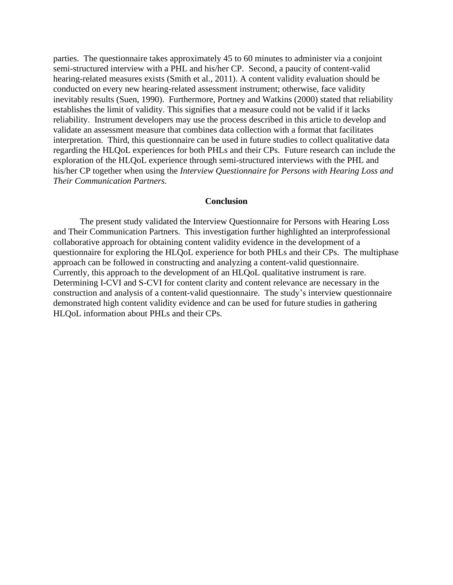parties. The questionnaire takes approximately 45 to 60 minutes to administer via a conjoint semi-structured interview with a PHL and his/her CP. Second, a paucity of content-valid hearing-related measures exists (Smith et al., 2011). A content validity evaluation should be conducted on every new hearing-related assessment instrument; otherwise, face validity inevitably results (Suen, 1990). Furthermore, Portney and Watkins (2000) stated that reliability establishes the limit of validity. This signifies that a measure could not be valid if it lacks reliability. Instrument developers may use the process described in this article to develop and validate an assessment measure that combines data collection with a format that facilitates interpretation. Third, this questionnaire can be used in future studies to collect qualitative data regarding the HLQoL experiences for both PHLs and their CPs. Future research can include the exploration of the HLQoL experience through semi-structured interviews with the PHL and his/her CP together when using the *Interview Questionnaire for Persons with Hearing Loss and Their Communication Partners.*

## **Conclusion**

The present study validated the Interview Questionnaire for Persons with Hearing Loss and Their Communication Partners*.* This investigation further highlighted an interprofessional collaborative approach for obtaining content validity evidence in the development of a questionnaire for exploring the HLQoL experience for both PHLs and their CPs. The multiphase approach can be followed in constructing and analyzing a content-valid questionnaire. Currently, this approach to the development of an HLQoL qualitative instrument is rare. Determining I-CVI and S-CVI for content clarity and content relevance are necessary in the construction and analysis of a content-valid questionnaire. The study's interview questionnaire demonstrated high content validity evidence and can be used for future studies in gathering HLQoL information about PHLs and their CPs.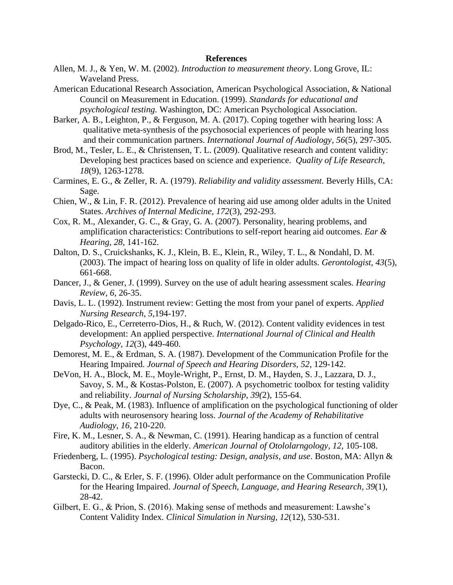#### **References**

- Allen, M. J., & Yen, W. M. (2002). *Introduction to measurement theory*. Long Grove, IL: Waveland Press.
- American Educational Research Association, American Psychological Association, & National Council on Measurement in Education. (1999). *Standards for educational and psychological testing.* Washington, DC: American Psychological Association.
- Barker, A. B., Leighton, P., & Ferguson, M. A. (2017). Coping together with hearing loss: A qualitative meta-synthesis of the psychosocial experiences of people with hearing loss and their communication partners. *International Journal of Audiology, 56*(5), 297-305.
- Brod, M., Tesler, L. E., & Christensen, T. L. (2009). Qualitative research and content validity: Developing best practices based on science and experience. *Quality of Life Research, 18*(9), 1263-1278.
- Carmines, E. G., & Zeller, R. A. (1979). *Reliability and validity assessment.* Beverly Hills, CA: Sage.
- Chien, W., & Lin, F. R. (2012). Prevalence of hearing aid use among older adults in the United States. *Archives of Internal Medicine*, *172*(3), 292-293.
- Cox, R. M., Alexander, G. C., & Gray, G. A. (2007). Personality, hearing problems, and amplification characteristics: Contributions to self-report hearing aid outcomes. *Ear & Hearing, 28,* 141-162.
- Dalton, D. S., Cruickshanks, K. J., Klein, B. E., Klein, R., Wiley, T. L., & Nondahl, D. M. (2003). The impact of hearing loss on quality of life in older adults. *Gerontologist, 43*(5), 661-668.
- Dancer, J., & Gener, J. (1999). Survey on the use of adult hearing assessment scales*. Hearing Review, 6*, 26-35.
- Davis, L. L. (1992). Instrument review: Getting the most from your panel of experts. *Applied Nursing Research, 5,*194-197.
- Delgado-Rico, E., Cerreterro-Dios, H., & Ruch, W. (2012). Content validity evidences in test development: An applied perspective. *International Journal of Clinical and Health Psychology, 12*(3), 449-460.
- Demorest, M. E., & Erdman, S. A. (1987). Development of the Communication Profile for the Hearing Impaired. *Journal of Speech and Hearing Disorders, 52,* 129-142.
- DeVon, H. A., Block, M. E., Moyle-Wright, P., Ernst, D. M., Hayden, S. J., Lazzara, D. J., Savoy, S. M., & Kostas-Polston, E. (2007). A psychometric toolbox for testing validity and reliability. *Journal of Nursing Scholarship, 39(*2), 155-64.
- Dye, C., & Peak, M. (1983). Influence of amplification on the psychological functioning of older adults with neurosensory hearing loss. *Journal of the Academy of Rehabilitative Audiology, 16,* 210-220.
- Fire, K. M., Lesner, S. A., & Newman, C. (1991). Hearing handicap as a function of central auditory abilities in the elderly. *American Journal of Otololarngology, 12,* 105-108.
- Friedenberg, L. (1995). *Psychological testing: Design, analysis, and use*. Boston, MA: Allyn & Bacon.
- Garstecki, D. C., & Erler, S. F. (1996). Older adult performance on the Communication Profile for the Hearing Impaired. *Journal of Speech, Language, and Hearing Research*, *39*(1), 28-42.
- Gilbert, E. G., & Prion, S. (2016). Making sense of methods and measurement: Lawshe's Content Validity Index. *Clinical Simulation in Nursing, 12*(12), 530-531.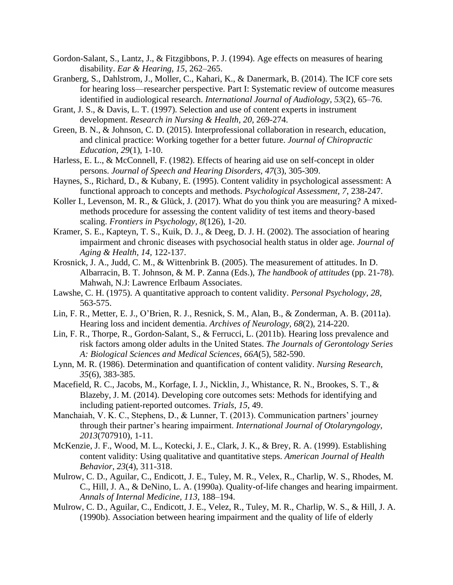- Gordon-Salant, S., Lantz, J., & Fitzgibbons, P. J. (1994). Age effects on measures of hearing disability. *Ear & Hearing, 15*, 262–265.
- Granberg, S., Dahlstrom, J., Moller, C., Kahari, K., & Danermark, B. (2014). The ICF core sets for hearing loss—researcher perspective. Part I: Systematic review of outcome measures identified in audiological research. *International Journal of Audiology, 53*(2), 65–76.
- Grant, J. S., & Davis, L. T. (1997). Selection and use of content experts in instrument development. *Research in Nursing & Health, 20,* 269-274.
- Green, B. N., & Johnson, C. D. (2015). Interprofessional collaboration in research, education, and clinical practice: Working together for a better future. *Journal of Chiropractic Education, 29*(1), 1-10.
- Harless, E. L., & McConnell, F. (1982). Effects of hearing aid use on self-concept in older persons. *Journal of Speech and Hearing Disorders, 47*(3), 305-309.
- Haynes, S., Richard, D., & Kubany, E. (1995). Content validity in psychological assessment: A functional approach to concepts and methods. *Psychological Assessment, 7*, 238-247.
- Koller I., Levenson, M. R., & Glück, J. (2017). What do you think you are measuring? A mixedmethods procedure for assessing the content validity of test items and theory-based scaling. *Frontiers in Psychology, 8*(126), 1-20.
- Kramer, S. E., Kapteyn, T. S., Kuik, D. J., & Deeg, D. J. H. (2002). The association of hearing impairment and chronic diseases with psychosocial health status in older age. *Journal of Aging & Health, 14,* 122-137.
- Krosnick, J. A., Judd, C. M., & Wittenbrink B. (2005). The measurement of attitudes. In D. Albarracin, B. T. Johnson, & M. P. Zanna (Eds.), *The handbook of attitudes* (pp. 21-78). Mahwah, N.J: Lawrence Erlbaum Associates.
- Lawshe, C. H. (1975). A quantitative approach to content validity. *Personal Psychology*, *28,* 563-575.
- Lin, F. R., Metter, E. J., O'Brien, R. J., Resnick, S. M., Alan, B., & Zonderman, A. B. (2011a). Hearing loss and incident dementia. *Archives of Neurology, 68*(2), 214-220.
- Lin, F. R., Thorpe, R., Gordon-Salant, S., & Ferrucci, L. (2011b). Hearing loss prevalence and risk factors among older adults in the United States. *The Journals of Gerontology Series A: Biological Sciences and Medical Sciences, 66A*(5), 582-590.
- Lynn, M. R. (1986). Determination and quantification of content validity. *Nursing Research, 35*(6), 383-385.
- Macefield, R. C., Jacobs, M., Korfage, I. J., Nicklin, J., Whistance, R. N., Brookes, S. T., & Blazeby, J. M. (2014). Developing core outcomes sets: Methods for identifying and including patient-reported outcomes. *Trials, 15*, 49.
- Manchaiah, V. K. C., Stephens, D., & Lunner, T. (2013). Communication partners' journey through their partner's hearing impairment. *International Journal of Otolaryngology, 2013*(707910), 1-11.
- McKenzie, J. F., Wood, M. L., Kotecki, J. E., Clark, J. K., & Brey, R. A. (1999). Establishing content validity: Using qualitative and quantitative steps. *American Journal of Health Behavior*, *23*(4), 311-318.
- Mulrow, C. D., Aguilar, C., Endicott, J. E., Tuley, M. R., Velex, R., Charlip, W. S., Rhodes, M. C., Hill, J. A., & DeNino, L. A. (1990a). Quality-of-life changes and hearing impairment. *Annals of Internal Medicine, 113,* 188–194.
- Mulrow, C. D., Aguilar, C., Endicott, J. E., Velez, R., Tuley, M. R., Charlip, W. S., & Hill, J. A. (1990b). Association between hearing impairment and the quality of life of elderly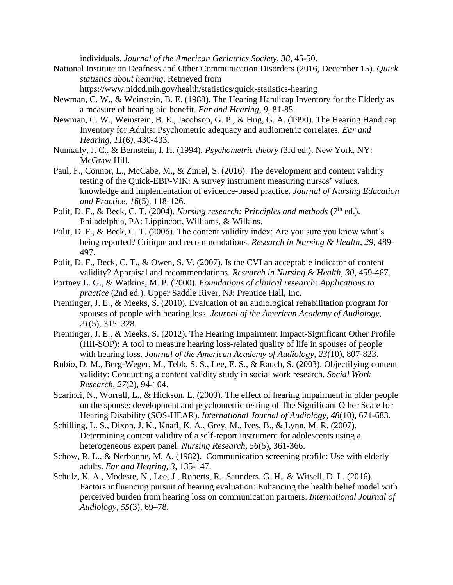individuals. *Journal of the American Geriatrics Society, 38*, 45-50.

National Institute on Deafness and Other Communication Disorders (2016, December 15). *Quick statistics about hearing*. Retrieved from

<https://www.nidcd.nih.gov/health/statistics/quick-statistics-hearing>

- Newman, C. W., & Weinstein, B. E. (1988). The Hearing Handicap Inventory for the Elderly as a measure of hearing aid benefit. *Ear and Hearing, 9,* 81-85.
- Newman, C. W., Weinstein, B. E., Jacobson, G. P., & Hug, G. A. (1990). The Hearing Handicap Inventory for Adults: Psychometric adequacy and audiometric correlates. *Ear and Hearing, 11*(6*)*, 430-433.
- Nunnally, J. C., & Bernstein, I. H. (1994). *Psychometric theory* (3rd ed.). New York, NY: McGraw Hill.
- Paul, F., Connor, L., McCabe, M., & Ziniel, S. (2016). The development and content validity testing of the Quick-EBP-VIK: A survey instrument measuring nurses' values, knowledge and implementation of evidence-based practice. *Journal of Nursing Education and Practice, 16*(5), 118-126.
- Polit, D. F., & Beck, C. T. (2004). *Nursing research: Principles and methods* (7<sup>th</sup> ed.). Philadelphia, PA: Lippincott, Williams, & Wilkins.
- Polit, D. F., & Beck, C. T. (2006). The content validity index: Are you sure you know what's being reported? Critique and recommendations. *Research in Nursing & Health, 29,* 489- 497.
- Polit, D. F., Beck, C. T., & Owen, S. V. (2007). Is the CVI an acceptable indicator of content validity? Appraisal and recommendations. *Research in Nursing & Health, 30*, 459-467.
- Portney L. G., & Watkins, M. P. (2000). *Foundations of clinical research: Applications to practice* (2nd ed.). Upper Saddle River, NJ: Prentice Hall, Inc.
- Preminger, J. E., & Meeks, S. (2010). Evaluation of an audiological rehabilitation program for spouses of people with hearing loss. *Journal of the American Academy of Audiology*, *21*(5), 315–328.
- Preminger, J. E., & Meeks, S. (2012). The Hearing Impairment Impact-Significant Other Profile (HII-SOP): A tool to measure hearing loss-related quality of life in spouses of people with hearing loss. *Journal of the American Academy of Audiology, 23*(10), 807-823.
- Rubio, D. M., Berg-Weger, M., Tebb, S. S., Lee, E. S., & Rauch, S. (2003). Objectifying content validity: Conducting a content validity study in social work research. *Social Work Research, 27*(2), 94-104.
- Scarinci, N., Worrall, L., & Hickson, L. (2009). The effect of hearing impairment in older people on the spouse: development and psychometric testing of The Significant Other Scale for Hearing Disability (SOS-HEAR). *International Journal of Audiology, 48*(10), 671-683.
- Schilling, L. S., Dixon, J. K., Knafl, K. A., Grey, M., Ives, B., & Lynn, M. R. (2007). Determining content validity of a self-report instrument for adolescents using a heterogeneous expert panel. *Nursing Research, 56*(5), 361-366.
- Schow, R. L., & Nerbonne, M. A. (1982). Communication screening profile: Use with elderly adults. *Ear and Hearing, 3,* 135-147.
- Schulz, K. A., Modeste, N., Lee, J., Roberts, R., Saunders, G. H., & Witsell, D. L. (2016). Factors influencing pursuit of hearing evaluation: Enhancing the health belief model with perceived burden from hearing loss on communication partners. *International Journal of Audiology, 55*(3), 69–78.